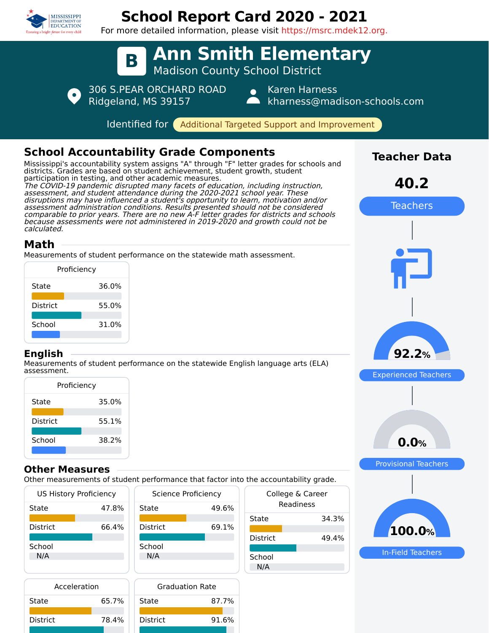

District 78.4%

District 91.6%

# **School Report Card 2020 - 2021**

For more detailed information, please visit https://msrc.mdek12.org.